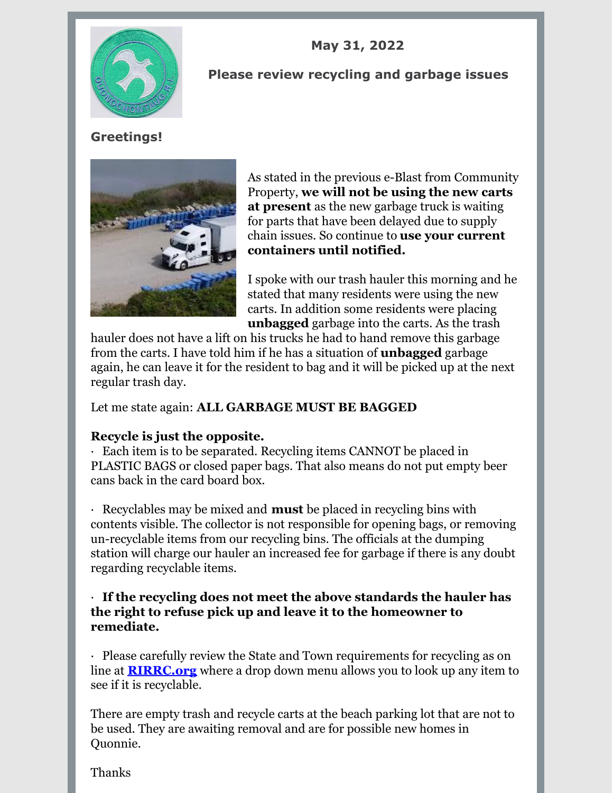

## **May 31, 2022**

#### **Please review recycling and garbage issues**

# **Greetings!**



As stated in the previous e-Blast from Community Property, **we will not be using the new carts at present** as the new garbage truck is waiting for parts that have been delayed due to supply chain issues. So continue to **use your current containers until notified.**

I spoke with our trash hauler this morning and he stated that many residents were using the new carts. In addition some residents were placing **unbagged** garbage into the carts. As the trash

hauler does not have a lift on his trucks he had to hand remove this garbage from the carts. I have told him if he has a situation of **unbagged** garbage again, he can leave it for the resident to bag and it will be picked up at the next regular trash day.

Let me state again: **ALL GARBAGE MUST BE BAGGED**

## **Recycle is just the opposite.**

· Each item is to be separated. Recycling items CANNOT be placed in PLASTIC BAGS or closed paper bags. That also means do not put empty beer cans back in the card board box.

· Recyclables may be mixed and **must** be placed in recycling bins with contents visible. The collector is not responsible for opening bags, or removing un-recyclable items from our recycling bins. The officials at the dumping station will charge our hauler an increased fee for garbage if there is any doubt regarding recyclable items.

#### · **If the recycling does not meet the above standards the hauler has the right to refuse pick up and leave it to the homeowner to remediate.**

· Please carefully review the State and Town requirements for recycling as on line at **[RIRRC.org](http://www.rirrc.org)** where a drop down menu allows you to look up any item to see if it is recyclable.

There are empty trash and recycle carts at the beach parking lot that are not to be used. They are awaiting removal and are for possible new homes in Quonnie.

Thanks